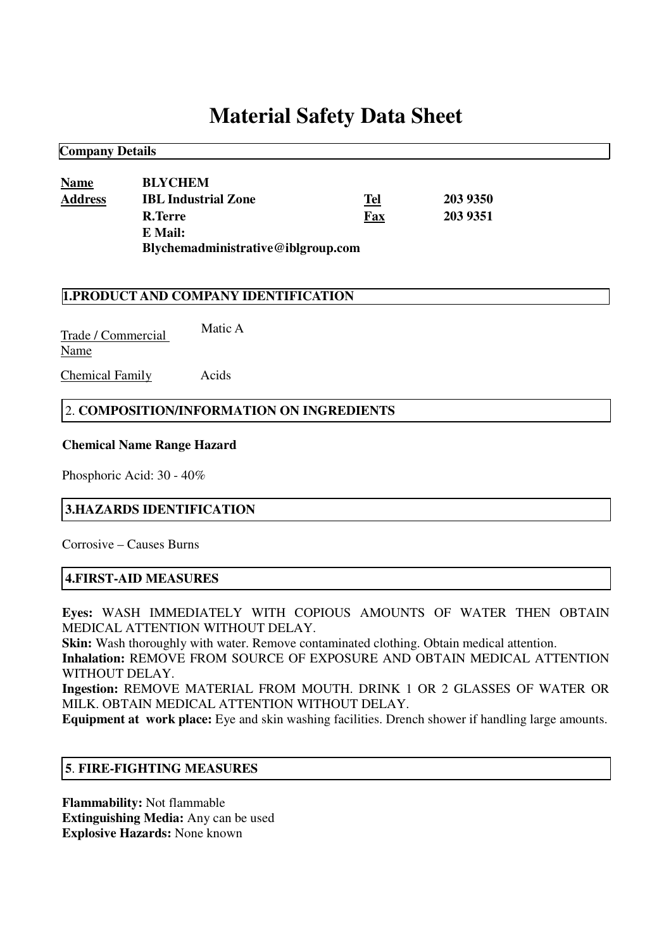# **Material Safety Data Sheet**

| <b>Name</b>    | <b>BLYCHEM</b>                     |            |          |  |
|----------------|------------------------------------|------------|----------|--|
| <b>Address</b> | <b>IBL Industrial Zone</b>         | <u>Tel</u> | 203 9350 |  |
|                | R.Terre                            | Fax        | 203 9351 |  |
|                | E Mail:                            |            |          |  |
|                | Blychemadministrative@iblgroup.com |            |          |  |

## **1.PRODUCT AND COMPANY IDENTIFICATION**

Trade / Commercial Name Matic A

Chemical Family Acids

**Company Details**

### 2. **COMPOSITION/INFORMATION ON INGREDIENTS**

#### **Chemical Name Range Hazard**

Phosphoric Acid: 30 - 40%

### **3.HAZARDS IDENTIFICATION**

Corrosive – Causes Burns

# **4.FIRST-AID MEASURES**

**Eyes:** WASH IMMEDIATELY WITH COPIOUS AMOUNTS OF WATER THEN OBTAIN MEDICAL ATTENTION WITHOUT DELAY.

**Skin:** Wash thoroughly with water. Remove contaminated clothing. Obtain medical attention.

**Inhalation:** REMOVE FROM SOURCE OF EXPOSURE AND OBTAIN MEDICAL ATTENTION WITHOUT DELAY.

**Ingestion:** REMOVE MATERIAL FROM MOUTH. DRINK 1 OR 2 GLASSES OF WATER OR MILK. OBTAIN MEDICAL ATTENTION WITHOUT DELAY.

**Equipment at work place:** Eye and skin washing facilities. Drench shower if handling large amounts.

### **5**. **FIRE-FIGHTING MEASURES**

**Flammability:** Not flammable **Extinguishing Media:** Any can be used **Explosive Hazards:** None known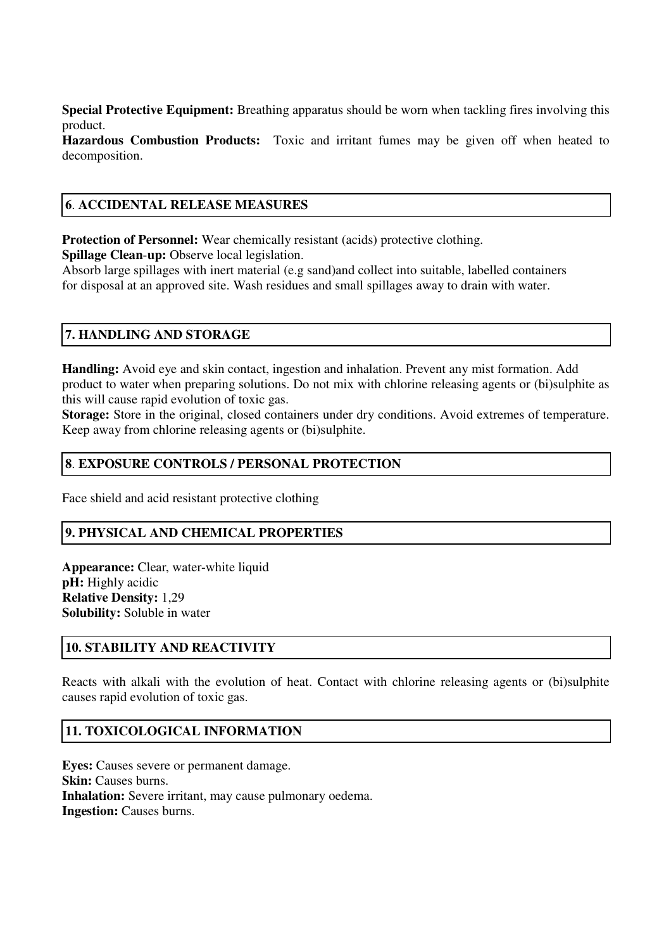**Special Protective Equipment:** Breathing apparatus should be worn when tackling fires involving this product.

**Hazardous Combustion Products:** Toxic and irritant fumes may be given off when heated to decomposition.

## **6**. **ACCIDENTAL RELEASE MEASURES**

**Protection of Personnel:** Wear chemically resistant (acids) protective clothing.

**Spillage Clean**-**up:** Observe local legislation.

Absorb large spillages with inert material (e.g sand)and collect into suitable, labelled containers for disposal at an approved site. Wash residues and small spillages away to drain with water.

# **7. HANDLING AND STORAGE**

**Handling:** Avoid eye and skin contact, ingestion and inhalation. Prevent any mist formation. Add product to water when preparing solutions. Do not mix with chlorine releasing agents or (bi)sulphite as this will cause rapid evolution of toxic gas.

**Storage:** Store in the original, closed containers under dry conditions. Avoid extremes of temperature. Keep away from chlorine releasing agents or (bi)sulphite.

## **8**. **EXPOSURE CONTROLS / PERSONAL PROTECTION**

Face shield and acid resistant protective clothing

# **9. PHYSICAL AND CHEMICAL PROPERTIES**

**Appearance:** Clear, water-white liquid **pH:** Highly acidic **Relative Density:** 1,29 **Solubility:** Soluble in water

# **10. STABILITY AND REACTIVITY**

Reacts with alkali with the evolution of heat. Contact with chlorine releasing agents or (bi)sulphite causes rapid evolution of toxic gas.

# **11. TOXICOLOGICAL INFORMATION**

**Eyes:** Causes severe or permanent damage. **Skin:** Causes burns. **Inhalation:** Severe irritant, may cause pulmonary oedema. **Ingestion:** Causes burns.